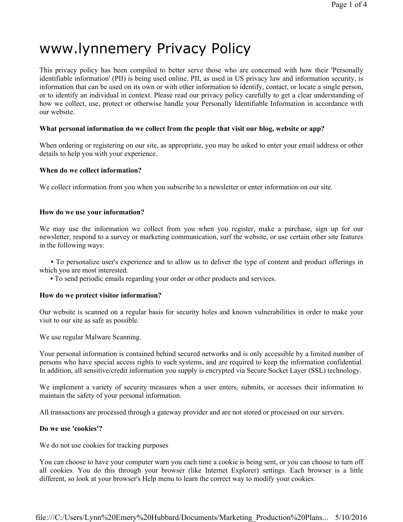# www.lynnemery Privacy Policy

This privacy policy has been compiled to better serve those who are concerned with how their 'Personally identifiable information' (PII) is being used online. PII, as used in US privacy law and information security, is information that can be used on its own or with other information to identify, contact, or locate a single person, or to identify an individual in context. Please read our privacy policy carefully to get a clear understanding of how we collect, use, protect or otherwise handle your Personally Identifiable Information in accordance with our website.

## What personal information do we collect from the people that visit our blog, website or app?

When ordering or registering on our site, as appropriate, you may be asked to enter your email address or other details to help you with your experience.

#### When do we collect information?

We collect information from you when you subscribe to a newsletter or enter information on our site.

## How do we use your information?

We may use the information we collect from you when you register, make a purchase, sign up for our newsletter, respond to a survey or marketing communication, surf the website, or use certain other site features in the following ways:

• To personalize user's experience and to allow us to deliver the type of content and product offerings in which you are most interested.

• To send periodic emails regarding your order or other products and services.

#### How do we protect visitor information?

Our website is scanned on a regular basis for security holes and known vulnerabilities in order to make your visit to our site as safe as possible.

We use regular Malware Scanning.

Your personal information is contained behind secured networks and is only accessible by a limited number of persons who have special access rights to such systems, and are required to keep the information confidential. In addition, all sensitive/credit information you supply is encrypted via Secure Socket Layer (SSL) technology.

We implement a variety of security measures when a user enters, submits, or accesses their information to maintain the safety of your personal information.

All transactions are processed through a gateway provider and are not stored or processed on our servers.

#### Do we use 'cookies'?

We do not use cookies for tracking purposes

You can choose to have your computer warn you each time a cookie is being sent, or you can choose to turn off all cookies. You do this through your browser (like Internet Explorer) settings. Each browser is a little different, so look at your browser's Help menu to learn the correct way to modify your cookies.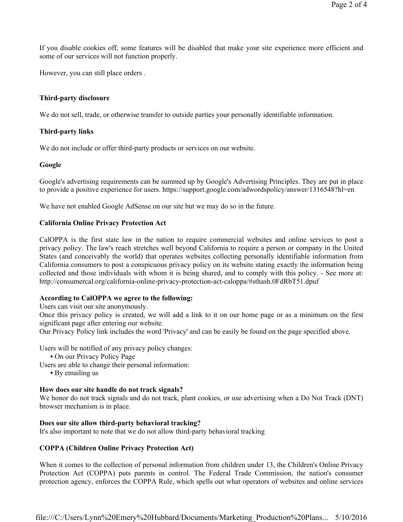If you disable cookies off, some features will be disabled that make your site experience more efficient and some of our services will not function properly.

However, you can still place orders .

## Third-party disclosure

We do not sell, trade, or otherwise transfer to outside parties your personally identifiable information.

## Third-party links

We do not include or offer third-party products or services on our website.

## Google

Google's advertising requirements can be summed up by Google's Advertising Principles. They are put in place to provide a positive experience for users. https://support.google.com/adwordspolicy/answer/1316548?hl=en

We have not enabled Google AdSense on our site but we may do so in the future.

## California Online Privacy Protection Act

CalOPPA is the first state law in the nation to require commercial websites and online services to post a privacy policy. The law's reach stretches well beyond California to require a person or company in the United States (and conceivably the world) that operates websites collecting personally identifiable information from California consumers to post a conspicuous privacy policy on its website stating exactly the information being collected and those individuals with whom it is being shared, and to comply with this policy. - See more at: http://consumercal.org/california-online-privacy-protection-act-caloppa/#sthash.0FdRbT51.dpuf

#### According to CalOPPA we agree to the following:

Users can visit our site anonymously.

Once this privacy policy is created, we will add a link to it on our home page or as a minimum on the first significant page after entering our website.

Our Privacy Policy link includes the word 'Privacy' and can be easily be found on the page specified above.

Users will be notified of any privacy policy changes:

• On our Privacy Policy Page

Users are able to change their personal information:

• By emailing us

## How does our site handle do not track signals?

We honor do not track signals and do not track, plant cookies, or use advertising when a Do Not Track (DNT) browser mechanism is in place.

## Does our site allow third-party behavioral tracking?

It's also important to note that we do not allow third-party behavioral tracking

## COPPA (Children Online Privacy Protection Act)

When it comes to the collection of personal information from children under 13, the Children's Online Privacy Protection Act (COPPA) puts parents in control. The Federal Trade Commission, the nation's consumer protection agency, enforces the COPPA Rule, which spells out what operators of websites and online services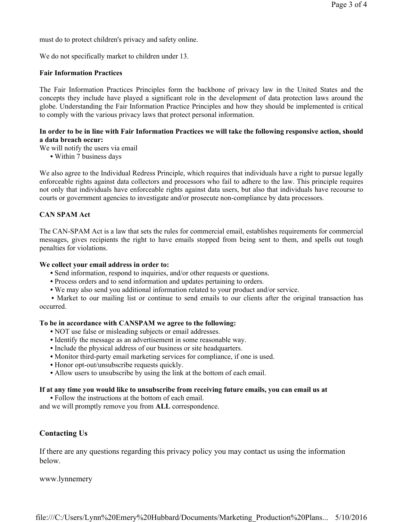must do to protect children's privacy and safety online.

We do not specifically market to children under 13.

#### Fair Information Practices

The Fair Information Practices Principles form the backbone of privacy law in the United States and the concepts they include have played a significant role in the development of data protection laws around the globe. Understanding the Fair Information Practice Principles and how they should be implemented is critical to comply with the various privacy laws that protect personal information.

## In order to be in line with Fair Information Practices we will take the following responsive action, should a data breach occur:

We will notify the users via email

• Within 7 business days

We also agree to the Individual Redress Principle, which requires that individuals have a right to pursue legally enforceable rights against data collectors and processors who fail to adhere to the law. This principle requires not only that individuals have enforceable rights against data users, but also that individuals have recourse to courts or government agencies to investigate and/or prosecute non-compliance by data processors.

## CAN SPAM Act

The CAN-SPAM Act is a law that sets the rules for commercial email, establishes requirements for commercial messages, gives recipients the right to have emails stopped from being sent to them, and spells out tough penalties for violations.

#### We collect your email address in order to:

- Send information, respond to inquiries, and/or other requests or questions.
- Process orders and to send information and updates pertaining to orders.
- We may also send you additional information related to your product and/or service.

• Market to our mailing list or continue to send emails to our clients after the original transaction has occurred.

#### To be in accordance with CANSPAM we agree to the following:

- NOT use false or misleading subjects or email addresses.
- Identify the message as an advertisement in some reasonable way.
- Include the physical address of our business or site headquarters.
- Monitor third-party email marketing services for compliance, if one is used.
- Honor opt-out/unsubscribe requests quickly.
- Allow users to unsubscribe by using the link at the bottom of each email.

## If at any time you would like to unsubscribe from receiving future emails, you can email us at

• Follow the instructions at the bottom of each email.

and we will promptly remove you from ALL correspondence.

## Contacting Us

If there are any questions regarding this privacy policy you may contact us using the information below.

www.lynnemery